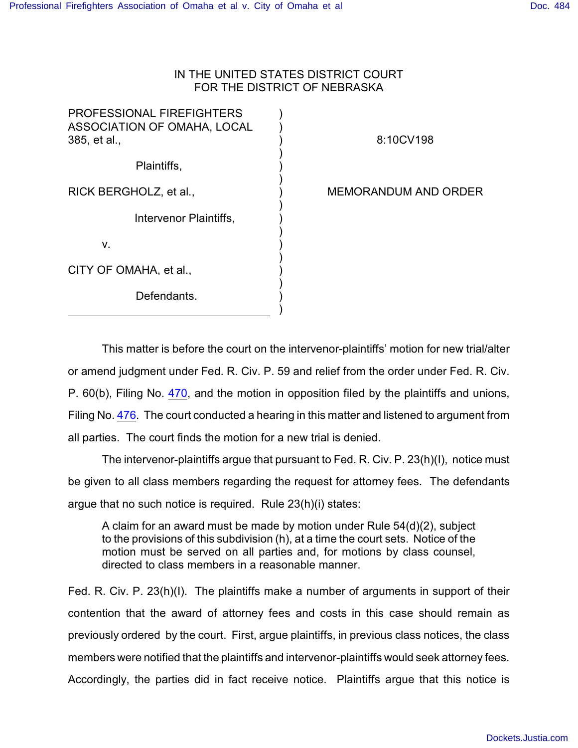## IN THE UNITED STATES DISTRICT COURT FOR THE DISTRICT OF NEBRASKA

) ) ) ) ) ) ) ) ) ) ) ) ) ) ) )

| <b>PROFESSIONAL FIREFIGHTERS</b><br><b>ASSOCIATION OF OMAHA, LOCAL</b><br>385, et al., |
|----------------------------------------------------------------------------------------|
| Plaintiffs,                                                                            |
| RICK BERGHOLZ, et al.,                                                                 |
| Intervenor Plaintiffs,                                                                 |
| v.                                                                                     |
| CITY OF OMAHA, et al.,                                                                 |

8:10CV198

MEMORANDUM AND ORDER

Defendants.

This matter is before the court on the intervenor-plaintiffs' motion for new trial/alter or amend judgment under Fed. R. Civ. P. 59 and relief from the order under Fed. R. Civ. P. 60(b), Filing No. [470](http://ecf.ned.uscourts.gov/doc1/11302287672), and the motion in opposition filed by the plaintiffs and unions, Filing No. [476](http://ecf.ned.uscourts.gov/doc1/11302300451). The court conducted a hearing in this matter and listened to argument from all parties. The court finds the motion for a new trial is denied.

The intervenor-plaintiffs argue that pursuant to Fed. R. Civ. P. 23(h)(I), notice must be given to all class members regarding the request for attorney fees. The defendants argue that no such notice is required. Rule 23(h)(i) states:

A claim for an award must be made by motion under Rule 54(d)(2), subject to the provisions of this subdivision (h), at a time the court sets. Notice of the motion must be served on all parties and, for motions by class counsel, directed to class members in a reasonable manner.

Fed. R. Civ. P. 23(h)(I). The plaintiffs make a number of arguments in support of their contention that the award of attorney fees and costs in this case should remain as previously ordered by the court. First, argue plaintiffs, in previous class notices, the class members were notified that the plaintiffs and intervenor-plaintiffs would seek attorney fees. Accordingly, the parties did in fact receive notice. Plaintiffs argue that this notice is